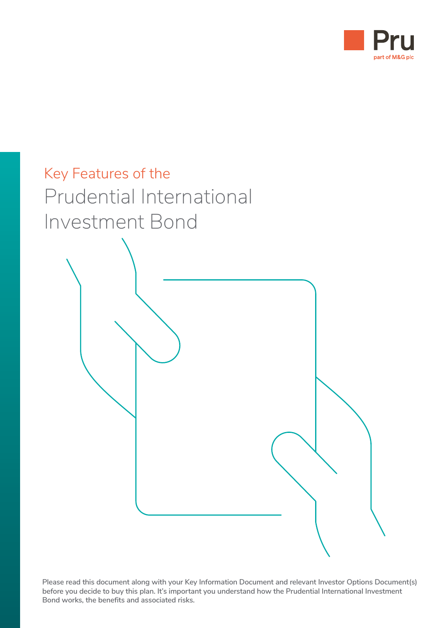



**Please read this document along with your Key Information Document and relevant Investor Options Document(s) before you decide to buy this plan. It's important you understand how the Prudential International Investment Bond works, the benefits and associated risks.**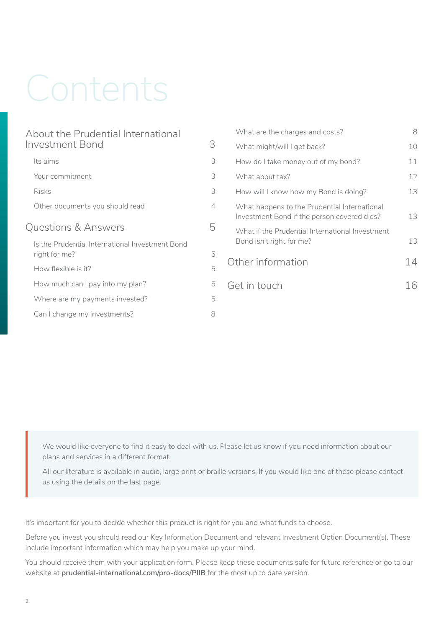# Contents

| About the Prudential International                               |                |
|------------------------------------------------------------------|----------------|
| Investment Bond                                                  |                |
| Its aims                                                         | 3              |
| Your commitment                                                  | 3              |
| <b>Risks</b>                                                     | 3              |
| Other documents you should read                                  | $\overline{4}$ |
| <b>Questions &amp; Answers</b>                                   |                |
| Is the Prudential International Investment Bond<br>right for me? | 5              |
| How flexible is it?                                              | 5              |
| How much can I pay into my plan?                                 | 5              |
| Where are my payments invested?                                  | 5              |
| Can I change my investments?                                     | 8              |
|                                                                  |                |

| What are the charges and costs?                                                             | 8               |
|---------------------------------------------------------------------------------------------|-----------------|
| What might/will I get back?                                                                 | 10              |
| How do I take money out of my bond?                                                         | 11              |
| What about tax?                                                                             | 12 <sup>°</sup> |
| How will I know how my Bond is doing?                                                       | 13              |
| What happens to the Prudential International<br>Investment Bond if the person covered dies? | 13              |
| What if the Prudential International Investment<br>Bond isn't right for me?                 | 13              |
| Other information                                                                           | 14              |
| Get in touch                                                                                |                 |
|                                                                                             |                 |

We would like everyone to find it easy to deal with us. Please let us know if you need information about our plans and services in a different format.

All our literature is available in audio, large print or braille versions. If you would like one of these please contact us using the details on the last page.

It's important for you to decide whether this product is right for you and what funds to choose.

Before you invest you should read our Key Information Document and relevant Investment Option Document(s). These include important information which may help you make up your mind.

You should receive them with your application form. Please keep these documents safe for future reference or go to our website at **[prudential-international.com/pro-docs/PIIB](http://www.prudential-international.com/pro-docs/PIIB)** for the most up to date version.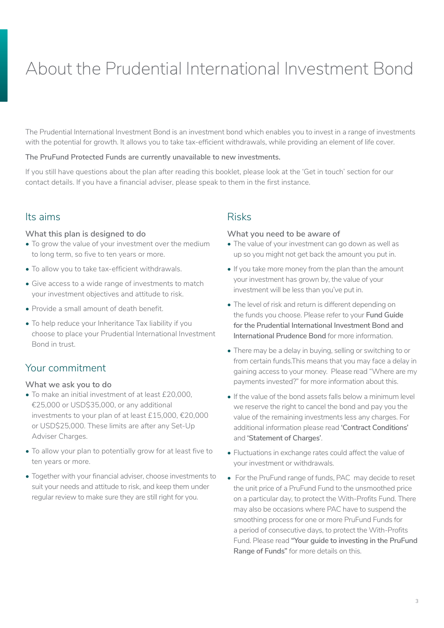# <span id="page-2-0"></span>About the Prudential International Investment Bond

The Prudential International Investment Bond is an investment bond which enables you to invest in a range of investments with the potential for growth. It allows you to take tax-efficient withdrawals, while providing an element of life cover.

#### **The PruFund Protected Funds are currently unavailable to new investments.**

If you still have questions about the plan after reading this booklet, please look at the 'Get in touch' section for our contact details. If you have a financial adviser, please speak to them in the first instance.

#### Its aims

#### **What this plan is designed to do**

- To grow the value of your investment over the medium to long term, so five to ten years or more.
- To allow you to take tax-efficient withdrawals.
- Give access to a wide range of investments to match your investment objectives and attitude to risk.
- Provide a small amount of death benefit.
- To help reduce your Inheritance Tax liability if you choose to place your Prudential International Investment Bond in trust.

## Your commitment

#### **What we ask you to do**

- To make an initial investment of at least £20,000, €25,000 or USD\$35,000, or any additional investments to your plan of at least £15,000, €20,000 or USD\$25,000. These limits are after any Set-Up Adviser Charges.
- To allow your plan to potentially grow for at least five to ten years or more.
- Together with your financial adviser, choose investments to suit your needs and attitude to risk, and keep them under regular review to make sure they are still right for you.

#### Risks

#### **What you need to be aware of**

- The value of your investment can go down as well as up so you might not get back the amount you put in.
- If you take more money from the plan than the amount your investment has grown by, the value of your investment will be less than you've put in.
- The level of risk and return is different depending on the funds you choose. Please refer to your **Fund Guide for the Prudential International Investment Bond and International Prudence Bond** for more information.
- There may be a delay in buying, selling or switching to or from certain funds.This means that you may face a delay in gaining access to your money. Please read "Where are my payments invested?" for more information about this.
- If the value of the bond assets falls below a minimum level we reserve the right to cancel the bond and pay you the value of the remaining investments less any charges. For additional information please read **'Contract Conditions'**  and **'Statement of Charges'**.
- Fluctuations in exchange rates could affect the value of your investment or withdrawals.
- For the PruFund range of funds, PAC may decide to reset the unit price of a PruFund Fund to the unsmoothed price on a particular day, to protect the With-Profits Fund. There may also be occasions where PAC have to suspend the smoothing process for one or more PruFund Funds for a period of consecutive days, to protect the With-Profits Fund. Please read **"Your guide to investing in the PruFund Range of Funds"** for more details on this.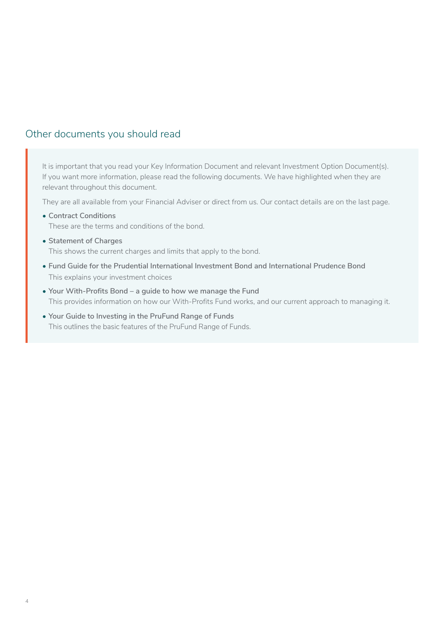# <span id="page-3-0"></span>Other documents you should read

It is important that you read your Key Information Document and relevant Investment Option Document(s). If you want more information, please read the following documents. We have highlighted when they are relevant throughout this document.

They are all available from your Financial Adviser or direct from us. Our contact details are on the last page.

- **Contract Conditions** These are the terms and conditions of the bond.
- **Statement of Charges** This shows the current charges and limits that apply to the bond.
- **Fund Guide for the Prudential International Investment Bond and International Prudence Bond** This explains your investment choices
- **Your With-Profits Bond a guide to how we manage the Fund**  This provides information on how our With-Profits Fund works, and our current approach to managing it.
- **Your Guide to Investing in the PruFund Range of Funds** This outlines the basic features of the PruFund Range of Funds.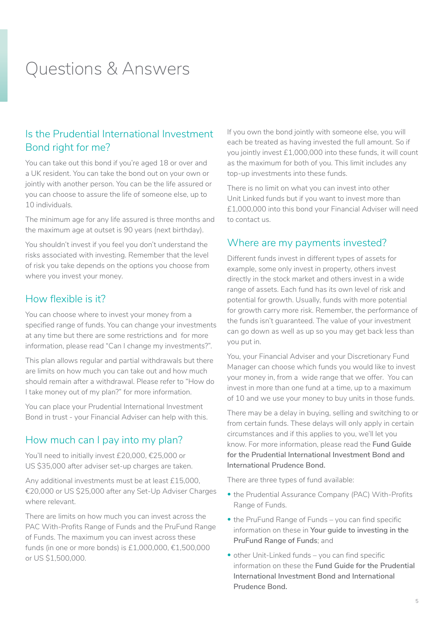# <span id="page-4-0"></span>Questions & Answers

# Is the Prudential International Investment Bond right for me?

You can take out this bond if you're aged 18 or over and a UK resident. You can take the bond out on your own or jointly with another person. You can be the life assured or you can choose to assure the life of someone else, up to 10 individuals.

The minimum age for any life assured is three months and the maximum age at outset is 90 years (next birthday).

You shouldn't invest if you feel you don't understand the risks associated with investing. Remember that the level of risk you take depends on the options you choose from where you invest your money.

## How flexible is it?

You can choose where to invest your money from a specified range of funds. You can change your investments at any time but there are some restrictions and for more information, please read "Can I change my investments?".

This plan allows regular and partial withdrawals but there are limits on how much you can take out and how much should remain after a withdrawal. Please refer to "How do I take money out of my plan?" for more information.

You can place your Prudential International Investment Bond in trust - your Financial Adviser can help with this.

## How much can I pay into my plan?

You'll need to initially invest £20,000, €25,000 or US \$35,000 after adviser set-up charges are taken.

Any additional investments must be at least £15,000, €20,000 or US \$25,000 after any Set-Up Adviser Charges where relevant.

There are limits on how much you can invest across the PAC With-Profits Range of Funds and the PruFund Range of Funds. The maximum you can invest across these funds (in one or more bonds) is £1,000,000, €1,500,000 or US \$1,500,000.

If you own the bond jointly with someone else, you will each be treated as having invested the full amount. So if you jointly invest £1,000,000 into these funds, it will count as the maximum for both of you. This limit includes any top-up investments into these funds.

There is no limit on what you can invest into other Unit Linked funds but if you want to invest more than £1,000,000 into this bond your Financial Adviser will need to contact us.

## Where are my payments invested?

Different funds invest in different types of assets for example, some only invest in property, others invest directly in the stock market and others invest in a wide range of assets. Each fund has its own level of risk and potential for growth. Usually, funds with more potential for growth carry more risk. Remember, the performance of the funds isn't guaranteed. The value of your investment can go down as well as up so you may get back less than you put in.

You, your Financial Adviser and your Discretionary Fund Manager can choose which funds you would like to invest your money in, from a wide range that we offer. You can invest in more than one fund at a time, up to a maximum of 10 and we use your money to buy units in those funds.

There may be a delay in buying, selling and switching to or from certain funds. These delays will only apply in certain circumstances and if this applies to you, we'll let you know. For more information, please read the **Fund Guide for the Prudential International Investment Bond and International Prudence Bond.** 

There are three types of fund available:

- the Prudential Assurance Company (PAC) With-Profits Range of Funds.
- the PruFund Range of Funds you can find specific information on these in **Your guide to investing in the PruFund Range of Funds**; and
- other Unit-Linked funds you can find specific information on these the **Fund Guide for the Prudential International Investment Bond and International Prudence Bond.**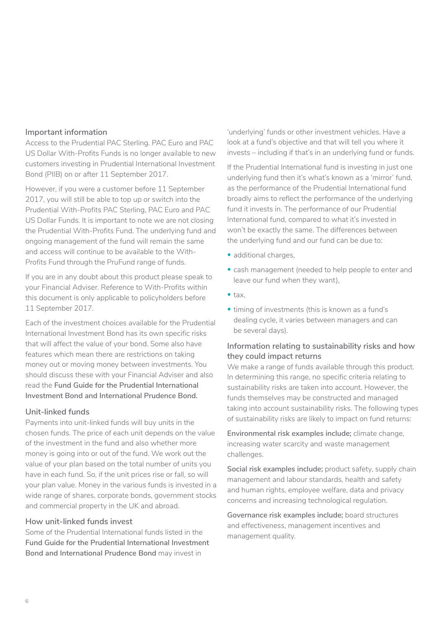#### **Important information**

Access to the Prudential PAC Sterling. PAC Euro and PAC US Dollar With-Profits Funds is no longer available to new customers investing in Prudential International Investment Bond (PIIB) on or after 11 September 2017.

However, if you were a customer before 11 September 2017, you will still be able to top up or switch into the Prudential With-Profits PAC Sterling, PAC Euro and PAC US Dollar Funds. It is important to note we are not closing the Prudential With-Profits Fund. The underlying fund and ongoing management of the fund will remain the same and access will continue to be available to the With-Profits Fund through the PruFund range of funds.

If you are in any doubt about this product please speak to your Financial Adviser. Reference to With-Profits within this document is only applicable to policyholders before 11 September 2017.

Each of the investment choices available for the Prudential International Investment Bond has its own specific risks that will affect the value of your bond. Some also have features which mean there are restrictions on taking money out or moving money between investments. You should discuss these with your Financial Adviser and also read the **Fund Guide for the Prudential International Investment Bond and International Prudence Bond.**

#### **Unit-linked funds**

Payments into unit-linked funds will buy units in the chosen funds. The price of each unit depends on the value of the investment in the fund and also whether more money is going into or out of the fund. We work out the value of your plan based on the total number of units you have in each fund. So, if the unit prices rise or fall, so will your plan value. Money in the various funds is invested in a wide range of shares, corporate bonds, government stocks and commercial property in the UK and abroad.

#### **How unit-linked funds invest**

Some of the Prudential International funds listed in the **Fund Guide for the Prudential International Investment Bond and International Prudence Bond** may invest in

'underlying' funds or other investment vehicles. Have a look at a fund's objective and that will tell you where it invests – including if that's in an underlying fund or funds.

If the Prudential International fund is investing in just one underlying fund then it's what's known as a 'mirror' fund, as the performance of the Prudential International fund broadly aims to reflect the performance of the underlying fund it invests in. The performance of our Prudential International fund, compared to what it's invested in won't be exactly the same. The differences between the underlying fund and our fund can be due to:

- additional charges,
- cash management (needed to help people to enter and leave our fund when they want),
- tax,
- timing of investments (this is known as a fund's dealing cycle, it varies between managers and can be several days).

#### **Information relating to sustainability risks and how they could impact returns**

We make a range of funds available through this product. In determining this range, no specific criteria relating to sustainability risks are taken into account. However, the funds themselves may be constructed and managed taking into account sustainability risks. The following types of sustainability risks are likely to impact on fund returns:

**Environmental risk examples include;** climate change, increasing water scarcity and waste management challenges.

**Social risk examples include;** product safety, supply chain management and labour standards, health and safety and human rights, employee welfare, data and privacy concerns and increasing technological regulation.

**Governance risk examples include;** board structures and effectiveness, management incentives and management quality.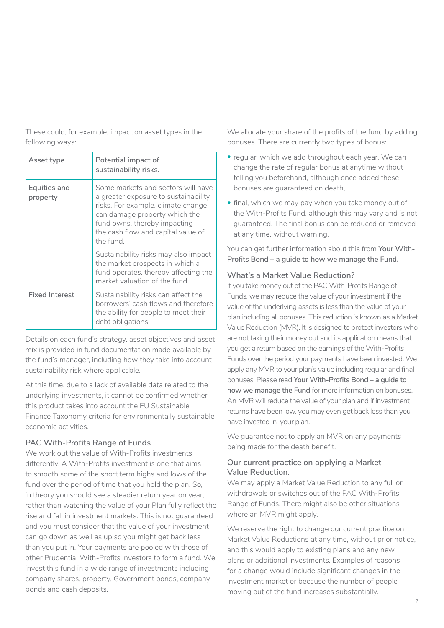These could, for example, impact on asset types in the following ways:

| Asset type               | Potential impact of<br>sustainability risks.                                                                                                                                                                                         |
|--------------------------|--------------------------------------------------------------------------------------------------------------------------------------------------------------------------------------------------------------------------------------|
| Equities and<br>property | Some markets and sectors will have<br>a greater exposure to sustainability<br>risks. For example, climate change<br>can damage property which the<br>fund owns, thereby impacting<br>the cash flow and capital value of<br>the fund. |
|                          | Sustainability risks may also impact<br>the market prospects in which a<br>fund operates, thereby affecting the<br>market valuation of the fund.                                                                                     |
| <b>Fixed Interest</b>    | Sustainability risks can affect the<br>borrowers' cash flows and therefore<br>the ability for people to meet their<br>debt obligations.                                                                                              |

Details on each fund's strategy, asset objectives and asset mix is provided in fund documentation made available by the fund's manager, including how they take into account sustainability risk where applicable.

At this time, due to a lack of available data related to the underlying investments, it cannot be confirmed whether this product takes into account the EU Sustainable Finance Taxonomy criteria for environmentally sustainable economic activities.

#### **PAC With-Profits Range of Funds**

We work out the value of With-Profits investments differently. A With-Profits investment is one that aims to smooth some of the short term highs and lows of the fund over the period of time that you hold the plan. So, in theory you should see a steadier return year on year, rather than watching the value of your Plan fully reflect the rise and fall in investment markets. This is not guaranteed and you must consider that the value of your investment can go down as well as up so you might get back less than you put in. Your payments are pooled with those of other Prudential With-Profits investors to form a fund. We invest this fund in a wide range of investments including company shares, property, Government bonds, company bonds and cash deposits.

We allocate your share of the profits of the fund by adding bonuses. There are currently two types of bonus:

- regular, which we add throughout each year. We can change the rate of regular bonus at anytime without telling you beforehand, although once added these bonuses are guaranteed on death,
- final, which we may pay when you take money out of the With-Profits Fund, although this may vary and is not guaranteed. The final bonus can be reduced or removed at any time, without warning.

You can get further information about this from **Your With-Profits Bond – a guide to how we manage the Fund.**

#### **What's a Market Value Reduction?**

If you take money out of the PAC With-Profits Range of Funds, we may reduce the value of your investment if the value of the underlying assets is less than the value of your plan including all bonuses. This reduction is known as a Market Value Reduction (MVR). It is designed to protect investors who are not taking their money out and its application means that you get a return based on the earnings of the With-Profits Funds over the period your payments have been invested. We apply any MVR to your plan's value including regular and final bonuses. Please read **Your With-Profits Bond – a guide to how we manage the Fund** for more information on bonuses. An MVR will reduce the value of your plan and if investment returns have been low, you may even get back less than you have invested in your plan.

We guarantee not to apply an MVR on any payments being made for the death benefit.

#### **Our current practice on applying a Market Value Reduction.**

We may apply a Market Value Reduction to any full or withdrawals or switches out of the PAC With-Profits Range of Funds. There might also be other situations where an MVR might apply.

We reserve the right to change our current practice on Market Value Reductions at any time, without prior notice, and this would apply to existing plans and any new plans or additional investments. Examples of reasons for a change would include significant changes in the investment market or because the number of people moving out of the fund increases substantially.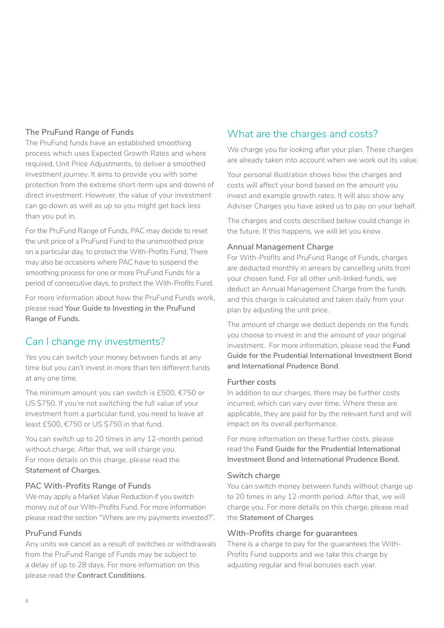#### <span id="page-7-0"></span>**The PruFund Range of Funds**

The PruFund funds have an established smoothing process which uses Expected Growth Rates and where required, Unit Price Adjustments, to deliver a smoothed investment journey. It aims to provide you with some protection from the extreme short-term ups and downs of direct investment. However, the value of your investment can go down as well as up so you might get back less than you put in.

For the PruFund Range of Funds, PAC may decide to reset the unit price of a PruFund Fund to the unsmoothed price on a particular day, to protect the With-Profits Fund. There may also be occasions where PAC have to suspend the smoothing process for one or more PruFund Funds for a period of consecutive days, to protect the With-Profits Fund.

For more information about how the PruFund Funds work, please read **Your Guide to Investing in the PruFund Range of Funds.**

# Can I change my investments?

Yes you can switch your money between funds at any time but you can't invest in more than ten different funds at any one time.

The minimum amount you can switch is £500, €750 or US \$750. If you're not switching the full value of your investment from a particular fund, you need to leave at least £500, €750 or US \$750 in that fund.

You can switch up to 20 times in any 12-month period without charge. After that, we will charge you. For more details on this charge, please read the **Statement of Charges.**

#### **PAC With-Profits Range of Funds**

We may apply a Market Value Reduction if you switch money out of our With-Profits Fund. For more information please read the section "Where are my payments invested?".

#### **PruFund Funds**

Any units we cancel as a result of switches or withdrawals from the PruFund Range of Funds may be subject to a delay of up to 28 days. For more information on this please read the **Contract Conditions**.

# What are the charges and costs?

We charge you for looking after your plan. These charges are already taken into account when we work out its value.

Your personal illustration shows how the charges and costs will affect your bond based on the amount you invest and example growth rates. It will also show any Adviser Charges you have asked us to pay on your behalf.

The charges and costs described below could change in the future. If this happens, we will let you know.

#### **Annual Management Charge**

For With-Profits and PruFund Range of Funds, charges are deducted monthly in arrears by cancelling units from your chosen fund. For all other unit-linked funds, we deduct an Annual Management Charge from the funds and this charge is calculated and taken daily from your plan by adjusting the unit price.

The amount of charge we deduct depends on the funds you choose to invest in and the amount of your original investment. For more information, please read the **Fund Guide for the Prudential International Investment Bond and International Prudence Bond**.

#### **Further costs**

In addition to our charges, there may be further costs incurred, which can vary over time. Where these are applicable, they are paid for by the relevant fund and will impact on its overall performance.

For more information on these further costs, please read the **Fund Guide for the Prudential International Investment Bond and International Prudence Bond.** 

#### **Switch charge**

You can switch money between funds without charge up to 20 times in any 12-month period. After that, we will charge you. For more details on this charge, please read the **Statement of Charges**.

#### **With-Profits charge for guarantees**

There is a charge to pay for the guarantees the With-Profits Fund supports and we take this charge by adjusting regular and final bonuses each year.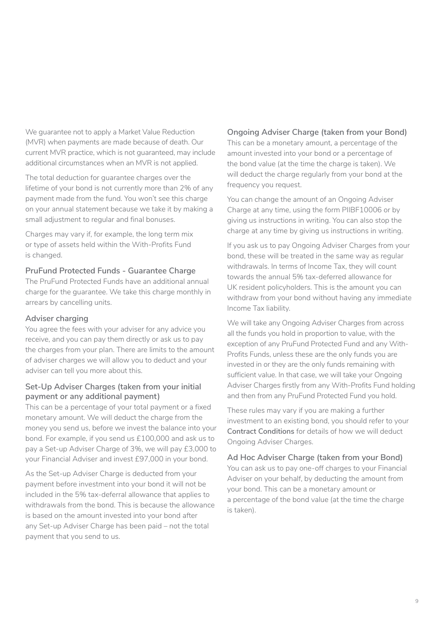We guarantee not to apply a Market Value Reduction (MVR) when payments are made because of death. Our current MVR practice, which is not guaranteed, may include additional circumstances when an MVR is not applied.

The total deduction for guarantee charges over the lifetime of your bond is not currently more than 2% of any payment made from the fund. You won't see this charge on your annual statement because we take it by making a small adjustment to regular and final bonuses.

Charges may vary if, for example, the long term mix or type of assets held within the With-Profits Fund is changed.

#### **PruFund Protected Funds - Guarantee Charge**

The PruFund Protected Funds have an additional annual charge for the guarantee. We take this charge monthly in arrears by cancelling units.

#### **Adviser charging**

You agree the fees with your adviser for any advice you receive, and you can pay them directly or ask us to pay the charges from your plan. There are limits to the amount of adviser charges we will allow you to deduct and your adviser can tell you more about this.

#### **Set-Up Adviser Charges (taken from your initial payment or any additional payment)**

This can be a percentage of your total payment or a fixed monetary amount. We will deduct the charge from the money you send us, before we invest the balance into your bond. For example, if you send us £100,000 and ask us to pay a Set-up Adviser Charge of 3%, we will pay £3,000 to your Financial Adviser and invest £97,000 in your bond.

As the Set-up Adviser Charge is deducted from your payment before investment into your bond it will not be included in the 5% tax-deferral allowance that applies to withdrawals from the bond. This is because the allowance is based on the amount invested into your bond after any Set-up Adviser Charge has been paid – not the total payment that you send to us.

#### **Ongoing Adviser Charge (taken from your Bond)**

This can be a monetary amount, a percentage of the amount invested into your bond or a percentage of the bond value (at the time the charge is taken). We will deduct the charge regularly from your bond at the frequency you request.

You can change the amount of an Ongoing Adviser Charge at any time, using the form PIIBF10006 or by giving us instructions in writing. You can also stop the charge at any time by giving us instructions in writing.

If you ask us to pay Ongoing Adviser Charges from your bond, these will be treated in the same way as regular withdrawals. In terms of Income Tax, they will count towards the annual 5% tax-deferred allowance for UK resident policyholders. This is the amount you can withdraw from your bond without having any immediate Income Tax liability.

We will take any Ongoing Adviser Charges from across all the funds you hold in proportion to value, with the exception of any PruFund Protected Fund and any With-Profits Funds, unless these are the only funds you are invested in or they are the only funds remaining with sufficient value. In that case, we will take your Ongoing Adviser Charges firstly from any With-Profits Fund holding and then from any PruFund Protected Fund you hold.

These rules may vary if you are making a further investment to an existing bond, you should refer to your **Contract Conditions** for details of how we will deduct Ongoing Adviser Charges.

**Ad Hoc Adviser Charge (taken from your Bond)**  You can ask us to pay one-off charges to your Financial Adviser on your behalf, by deducting the amount from your bond. This can be a monetary amount or a percentage of the bond value (at the time the charge is taken).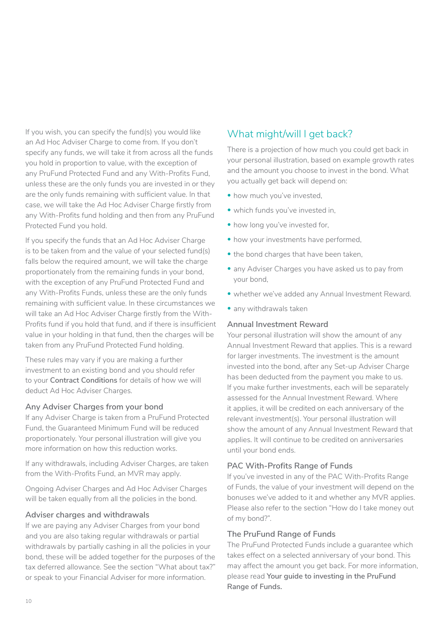<span id="page-9-0"></span>If you wish, you can specify the fund(s) you would like an Ad Hoc Adviser Charge to come from. If you don't specify any funds, we will take it from across all the funds you hold in proportion to value, with the exception of any PruFund Protected Fund and any With-Profits Fund, unless these are the only funds you are invested in or they are the only funds remaining with sufficient value. In that case, we will take the Ad Hoc Adviser Charge firstly from any With-Profits fund holding and then from any PruFund Protected Fund you hold.

If you specify the funds that an Ad Hoc Adviser Charge is to be taken from and the value of your selected fund(s) falls below the required amount, we will take the charge proportionately from the remaining funds in your bond, with the exception of any PruFund Protected Fund and any With-Profits Funds, unless these are the only funds remaining with sufficient value. In these circumstances we will take an Ad Hoc Adviser Charge firstly from the With-Profits fund if you hold that fund, and if there is insufficient value in your holding in that fund, then the charges will be taken from any PruFund Protected Fund holding.

These rules may vary if you are making a further investment to an existing bond and you should refer to your **Contract Conditions** for details of how we will deduct Ad Hoc Adviser Charges.

#### **Any Adviser Charges from your bond**

If any Adviser Charge is taken from a PruFund Protected Fund, the Guaranteed Minimum Fund will be reduced proportionately. Your personal illustration will give you more information on how this reduction works.

If any withdrawals, including Adviser Charges, are taken from the With-Profits Fund, an MVR may apply.

Ongoing Adviser Charges and Ad Hoc Adviser Charges will be taken equally from all the policies in the bond.

#### **Adviser charges and withdrawals**

If we are paying any Adviser Charges from your bond and you are also taking regular withdrawals or partial withdrawals by partially cashing in all the policies in your bond, these will be added together for the purposes of the tax deferred allowance. See the section "What about tax?" or speak to your Financial Adviser for more information.

# What might/will I get back?

There is a projection of how much you could get back in your personal illustration, based on example growth rates and the amount you choose to invest in the bond. What you actually get back will depend on:

- how much you've invested,
- which funds you've invested in,
- how long you've invested for,
- how your investments have performed,
- the bond charges that have been taken,
- any Adviser Charges you have asked us to pay from your bond,
- whether we've added any Annual Investment Reward.
- any withdrawals taken

#### **Annual Investment Reward**

Your personal illustration will show the amount of any Annual Investment Reward that applies. This is a reward for larger investments. The investment is the amount invested into the bond, after any Set-up Adviser Charge has been deducted from the payment you make to us. If you make further investments, each will be separately assessed for the Annual Investment Reward. Where it applies, it will be credited on each anniversary of the relevant investment(s). Your personal illustration will show the amount of any Annual Investment Reward that applies. It will continue to be credited on anniversaries until your bond ends.

#### **PAC With-Profits Range of Funds**

If you've invested in any of the PAC With-Profits Range of Funds, the value of your investment will depend on the bonuses we've added to it and whether any MVR applies. Please also refer to the section "How do I take money out of my bond?".

#### **The PruFund Range of Funds**

The PruFund Protected Funds include a guarantee which takes effect on a selected anniversary of your bond. This may affect the amount you get back. For more information, please read **Your guide to investing in the PruFund Range of Funds.**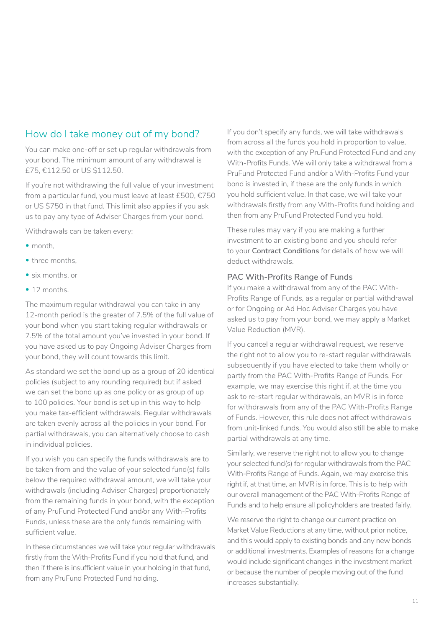# <span id="page-10-0"></span>How do I take money out of my bond?

You can make one-off or set up regular withdrawals from your bond. The minimum amount of any withdrawal is £75, €112.50 or US \$112.50.

If you're not withdrawing the full value of your investment from a particular fund, you must leave at least £500, €750 or US \$750 in that fund. This limit also applies if you ask us to pay any type of Adviser Charges from your bond.

Withdrawals can be taken every:

- month
- three months,
- six months, or
- 12 months.

The maximum regular withdrawal you can take in any 12-month period is the greater of 7.5% of the full value of your bond when you start taking regular withdrawals or 7.5% of the total amount you've invested in your bond. If you have asked us to pay Ongoing Adviser Charges from your bond, they will count towards this limit.

As standard we set the bond up as a group of 20 identical policies (subject to any rounding required) but if asked we can set the bond up as one policy or as group of up to 100 policies. Your bond is set up in this way to help you make tax-efficient withdrawals. Regular withdrawals are taken evenly across all the policies in your bond. For partial withdrawals, you can alternatively choose to cash in individual policies.

If you wish you can specify the funds withdrawals are to be taken from and the value of your selected fund(s) falls below the required withdrawal amount, we will take your withdrawals (including Adviser Charges) proportionately from the remaining funds in your bond, with the exception of any PruFund Protected Fund and/or any With-Profits Funds, unless these are the only funds remaining with sufficient value.

In these circumstances we will take your regular withdrawals firstly from the With-Profits Fund if you hold that fund, and then if there is insufficient value in your holding in that fund, from any PruFund Protected Fund holding.

If you don't specify any funds, we will take withdrawals from across all the funds you hold in proportion to value, with the exception of any PruFund Protected Fund and any With-Profits Funds. We will only take a withdrawal from a PruFund Protected Fund and/or a With-Profits Fund your bond is invested in, if these are the only funds in which you hold sufficient value. In that case, we will take your withdrawals firstly from any With-Profits fund holding and then from any PruFund Protected Fund you hold.

These rules may vary if you are making a further investment to an existing bond and you should refer to your **Contract Conditions** for details of how we will deduct withdrawals.

#### **PAC With-Profits Range of Funds**

If you make a withdrawal from any of the PAC With-Profits Range of Funds, as a regular or partial withdrawal or for Ongoing or Ad Hoc Adviser Charges you have asked us to pay from your bond, we may apply a Market Value Reduction (MVR).

If you cancel a regular withdrawal request, we reserve the right not to allow you to re-start regular withdrawals subsequently if you have elected to take them wholly or partly from the PAC With-Profits Range of Funds. For example, we may exercise this right if, at the time you ask to re-start regular withdrawals, an MVR is in force for withdrawals from any of the PAC With-Profits Range of Funds. However, this rule does not affect withdrawals from unit-linked funds. You would also still be able to make partial withdrawals at any time.

Similarly, we reserve the right not to allow you to change your selected fund(s) for regular withdrawals from the PAC With-Profits Range of Funds. Again, we may exercise this right if, at that time, an MVR is in force. This is to help with our overall management of the PAC With-Profits Range of Funds and to help ensure all policyholders are treated fairly.

We reserve the right to change our current practice on Market Value Reductions at any time, without prior notice, and this would apply to existing bonds and any new bonds or additional investments. Examples of reasons for a change would include significant changes in the investment market or because the number of people moving out of the fund increases substantially.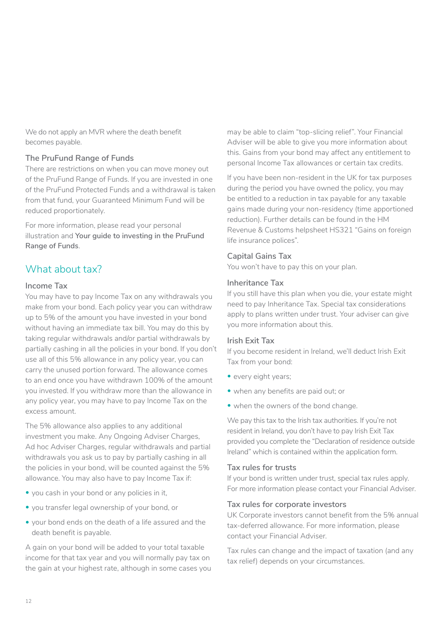<span id="page-11-0"></span>We do not apply an MVR where the death benefit becomes payable.

#### **The PruFund Range of Funds**

There are restrictions on when you can move money out of the PruFund Range of Funds. If you are invested in one of the PruFund Protected Funds and a withdrawal is taken from that fund, your Guaranteed Minimum Fund will be reduced proportionately.

For more information, please read your personal illustration and **Your guide to investing in the PruFund Range of Funds**.

# What about tax?

#### **Income Tax**

You may have to pay Income Tax on any withdrawals you make from your bond. Each policy year you can withdraw up to 5% of the amount you have invested in your bond without having an immediate tax bill. You may do this by taking regular withdrawals and/or partial withdrawals by partially cashing in all the policies in your bond. If you don't use all of this 5% allowance in any policy year, you can carry the unused portion forward. The allowance comes to an end once you have withdrawn 100% of the amount you invested. If you withdraw more than the allowance in any policy year, you may have to pay Income Tax on the excess amount.

The 5% allowance also applies to any additional investment you make. Any Ongoing Adviser Charges, Ad hoc Adviser Charges, regular withdrawals and partial withdrawals you ask us to pay by partially cashing in all the policies in your bond, will be counted against the 5% allowance. You may also have to pay Income Tax if:

- you cash in your bond or any policies in it,
- you transfer legal ownership of your bond, or
- your bond ends on the death of a life assured and the death benefit is payable.

A gain on your bond will be added to your total taxable income for that tax year and you will normally pay tax on the gain at your highest rate, although in some cases you

may be able to claim "top-slicing relief". Your Financial Adviser will be able to give you more information about this. Gains from your bond may affect any entitlement to personal Income Tax allowances or certain tax credits.

If you have been non-resident in the UK for tax purposes during the period you have owned the policy, you may be entitled to a reduction in tax payable for any taxable gains made during your non-residency (time apportioned reduction). Further details can be found in the HM Revenue & Customs helpsheet HS321 "Gains on foreign life insurance polices".

#### **Capital Gains Tax**

You won't have to pay this on your plan.

#### **Inheritance Tax**

If you still have this plan when you die, your estate might need to pay Inheritance Tax. Special tax considerations apply to plans written under trust. Your adviser can give you more information about this.

#### **Irish Exit Tax**

If you become resident in Ireland, we'll deduct Irish Exit Tax from your bond:

- every eight years;
- when any benefits are paid out; or
- when the owners of the bond change.

We pay this tax to the Irish tax authorities. If you're not resident in Ireland, you don't have to pay Irish Exit Tax provided you complete the "Declaration of residence outside Ireland" which is contained within the application form.

#### **Tax rules for trusts**

If your bond is written under trust, special tax rules apply. For more information please contact your Financial Adviser.

#### **Tax rules for corporate investors**

UK Corporate investors cannot benefit from the 5% annual tax-deferred allowance. For more information, please contact your Financial Adviser.

Tax rules can change and the impact of taxation (and any tax relief) depends on your circumstances.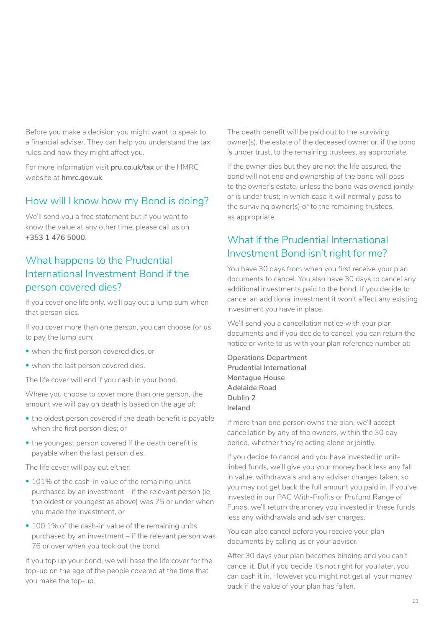<span id="page-12-0"></span>Before you make a decision you might want to speak to a financial adviser. They can help you understand the tax rules and how they might affect you.

For more information visit **[pru.co.uk/tax](http://www.pru.co.uk/tax)** or the HMRC website at **[hmrc.gov.uk](http://www.hmrc.gov.uk)**.

# How will I know how my Bond is doing?

We'll send you a free statement but if you want to know the value at any other time, please call us on **+353 1 476 5000**.

# What happens to the Prudential International Investment Bond if the person covered dies?

If you cover one life only, we'll pay out a lump sum when that person dies.

If you cover more than one person, you can choose for us to pay the lump sum:

- when the first person covered dies, or
- when the last person covered dies.

The life cover will end if you cash in your bond.

Where you choose to cover more than one person, the amount we will pay on death is based on the age of:

- the oldest person covered if the death benefit is payable when the first person dies; or
- the youngest person covered if the death benefit is payable when the last person dies.

The life cover will pay out either:

- 101% of the cash-in value of the remaining units purchased by an investment – if the relevant person (ie the oldest or youngest as above) was 75 or under when you made the investment, or
- 100.1% of the cash-in value of the remaining units purchased by an investment – if the relevant person was 76 or over when you took out the bond.

If you top up your bond, we will base the life cover for the top-up on the age of the people covered at the time that you make the top-up.

The death benefit will be paid out to the surviving owner(s), the estate of the deceased owner or, if the bond is under trust, to the remaining trustees, as appropriate.

If the owner dies but they are not the life assured, the bond will not end and ownership of the bond will pass to the owner's estate, unless the bond was owned jointly or is under trust; in which case it will normally pass to the surviving owner(s) or to the remaining trustees, as appropriate.

# What if the Prudential International Investment Bond isn't right for me?

You have 30 days from when you first receive your plan documents to cancel. You also have 30 days to cancel any additional investments paid to the bond. If you decide to cancel an additional investment it won't affect any existing investment you have in place.

We'll send you a cancellation notice with your plan documents and if you decide to cancel, you can return the notice or write to us with your plan reference number at:

**Operations Department Prudential International Montague House Adelaide Road Dublin 2 Ireland**

If more than one person owns the plan, we'll accept cancellation by any of the owners, within the 30 day period, whether they're acting alone or jointly.

If you decide to cancel and you have invested in unitlinked funds, we'll give you your money back less any fall in value, withdrawals and any adviser charges taken, so you may not get back the full amount you paid in. If you've invested in our PAC With-Profits or Prufund Range of Funds, we'll return the money you invested in these funds less any withdrawals and adviser charges.

You can also cancel before you receive your plan documents by calling us or your adviser.

After 30 days your plan becomes binding and you can't cancel it. But if you decide it's not right for you later, you can cash it in. However you might not get all your money back if the value of your plan has fallen.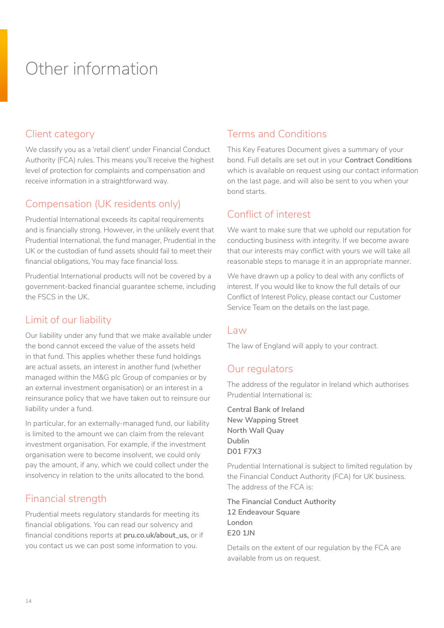# <span id="page-13-0"></span>Other information

# Client category

We classify you as a 'retail client' under Financial Conduct Authority (FCA) rules. This means you'll receive the highest level of protection for complaints and compensation and receive information in a straightforward way.

# Compensation (UK residents only)

Prudential International exceeds its capital requirements and is financially strong. However, in the unlikely event that Prudential International, the fund manager, Prudential in the UK or the custodian of fund assets should fail to meet their financial obligations, You may face financial loss.

Prudential International products will not be covered by a government-backed financial guarantee scheme, including the FSCS in the UK.

# Limit of our liability

Our liability under any fund that we make available under the bond cannot exceed the value of the assets held in that fund. This applies whether these fund holdings are actual assets, an interest in another fund (whether managed within the M&G plc Group of companies or by an external investment organisation) or an interest in a reinsurance policy that we have taken out to reinsure our liability under a fund.

In particular, for an externally-managed fund, our liability is limited to the amount we can claim from the relevant investment organisation. For example, if the investment organisation were to become insolvent, we could only pay the amount, if any, which we could collect under the insolvency in relation to the units allocated to the bond.

# Financial strength

Prudential meets regulatory standards for meeting its financial obligations. You can read our solvency and financial conditions reports at **[pru.co.uk/about\\_us,](http://www.pru.co.uk/about_us)** or if you contact us we can post some information to you.

# Terms and Conditions

This Key Features Document gives a summary of your bond. Full details are set out in your **Contract Conditions** which is available on request using our contact information on the last page, and will also be sent to you when your bond starts.

# Conflict of interest

We want to make sure that we uphold our reputation for conducting business with integrity. If we become aware that our interests may conflict with yours we will take all reasonable steps to manage it in an appropriate manner.

We have drawn up a policy to deal with any conflicts of interest. If you would like to know the full details of our Conflict of Interest Policy, please contact our Customer Service Team on the details on the last page.

### Law

The law of England will apply to your contract.

# Our regulators

The address of the regulator in Ireland which authorises Prudential International is:

**Central Bank of Ireland New Wapping Street North Wall Quay Dublin D01 F7X3**

Prudential International is subject to limited regulation by the Financial Conduct Authority (FCA) for UK business. The address of the FCA is:

**The Financial Conduct Authority 12 Endeavour Square London E20 1JN**

Details on the extent of our regulation by the FCA are available from us on request.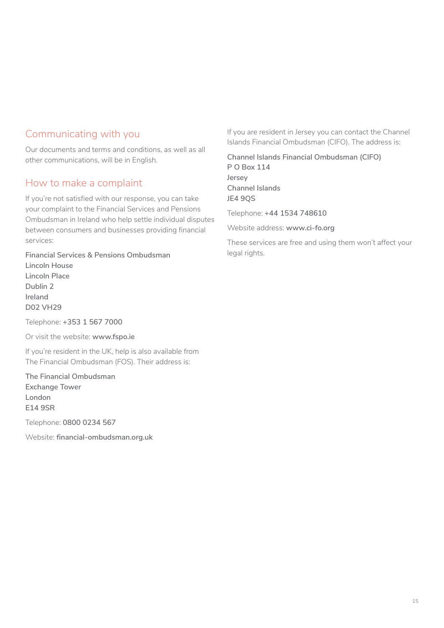# Communicating with you

Our documents and terms and conditions, as well as all other communications, will be in English.

# How to make a complaint

If you're not satisfied with our response, you can take your complaint to the Financial Services and Pensions Ombudsman in Ireland who help settle individual disputes between consumers and businesses providing financial services:

**Financial Services & Pensions Ombudsman Lincoln House Lincoln Place Dublin 2 Ireland D02 VH29**

Telephone: **+353 1 567 7000**

Or visit the website: **www.fspo.ie**

If you're resident in the UK, help is also available from The Financial Ombudsman (FOS). Their address is:

**The Financial Ombudsman Exchange Tower London E14 9SR** 

Telephone: **0800 0234 567**

Website: **financial-ombudsman.org.uk**

If you are resident in Jersey you can contact the Channel Islands Financial Ombudsman (CIFO). The address is:

**Channel Islands Financial Ombudsman (CIFO) P O Box 114 Jersey Channel Islands JE4 9QS**

Telephone: **+44 1534 748610**

Website address: **www.ci-fo.org**

These services are free and using them won't affect your legal rights.